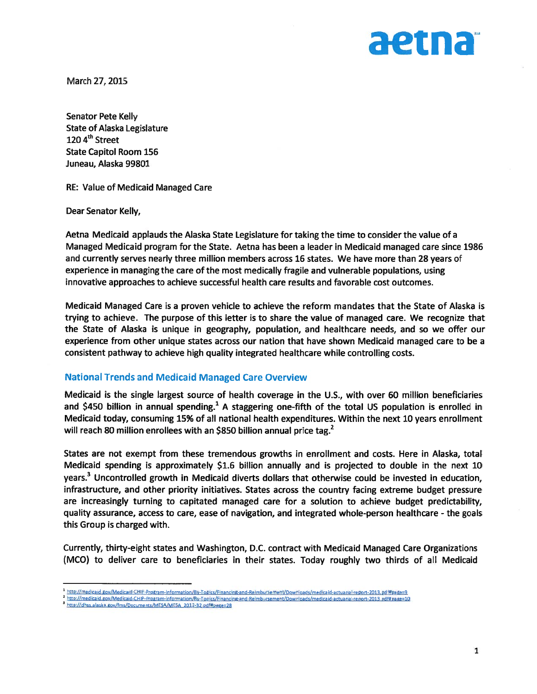

March 27, 2015

Senator Pete Kelly State of Alaska Legislature 120 4<sup>th</sup> Street State Capitol Room 156 Juneau, Alaska 99801

RE: Value of Medicaid Managed Care

Dear Senator Kelly,

Aetna Medicaid applauds the Alaska State Legislature for taking the time to consider the value of <sup>a</sup> Managed Medicaid program for the State. Aetna has been <sup>a</sup> leader in Medicaid managed care since 1986 and currently serves nearly three million members across 16 states. We have more than 28 years of experience in managing the care of the most medically fragile and vulnerable populations, using innovative approaches to achieve successful health care results and favorable cost outcomes.

Medicaid Managed Care is <sup>a</sup> proven vehicle to achieve the reform mandates that the State of Alaska is trying to achieve. The purpose of this letter is to share the value of managed care. We recognize that the State of Alaska is unique in geography, population, and healthcare needs, and so we offer our experience from other unique states across our nation that have shown Medicaid managed care to be <sup>a</sup> consistent pathway to achieve high quality integrated healthcare while controlling costs.

### National Trends and Medicaid Managed Care Overview

Medicaid is the single largest source of health coverage in the U.S., with over 60 million beneficiaries and \$450 billion in annual spending.<sup>1</sup> A staggering one-fifth of the total US population is enrolled in Medicaid today, consuming 15% of all national health expenditures. Within the next 10 years enrollment will reach 80 million enrollees with an \$850 billion annual price tag.<sup>2</sup>

States are not exemp<sup>t</sup> from these tremendous growths in enrollment and costs. Here in Alaska, total Medicaid spending is approximately \$1.6 billion annually and is projected to double in the next 10 years.<sup>3</sup> Uncontrolled growth in Medicaid diverts dollars that otherwise could be invested in education, infrastructure, and other priority initiatives. States across the country facing extreme budget pressure are increasingly turning to capitated managed care for <sup>a</sup> solution to achieve budget predictability, quality assurance, access to care, ease of navigation, and integrated whole-person healthcare - the goals this Group is charged with.

Currently, thirty-eight states and Washington, D.C. contract with Medicaid Managed Care Organizations (MCO) to deliver care to beneficiaries in their states. Today roughly two thirds of all Medicaid

http://medicaid.gov/Medicaid-CHIP-Program-Information/By-Topics/Financing-and-Reimbursement/Downloads/medicaid-actuarial-report-2013.pdf#page=9

http://medicaid.gov/Medicaid-CHIP-Program-Information/By-Topics/Financing-and-Reimbursement/Downloads/medicaid-actuarial-report-2013.pdf#page=10

a http://dhss.alaska.gov/fms/Documents/MESA/MESA 2012-32.pdf#page=28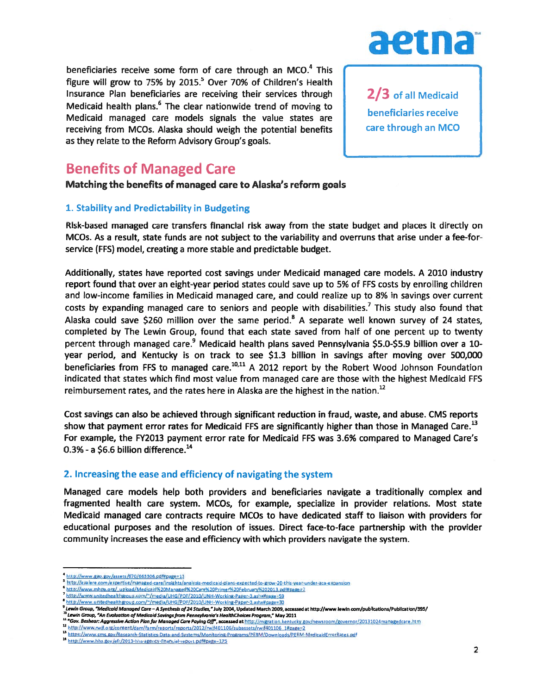beneficiaries receive some form of care through an MCO. $4$  This figure will grow to 75% by 2015.<sup>5</sup> Over 70% of Children's Health Insurance Plan beneficiaries are receiving their services through  $\blacksquare$  2/3 of all Medicaid Medicaid health plans. 6The clear nationwide trend of moving to . Medicaid managed care models signals the value states are receiving from MCOs. Alaska should weigh the potential benefits  $\begin{bmatrix} 1 & 1 \end{bmatrix}$  care through an MCO as they relate to the Reform Advisory Group's goals.



## Benefits of Managed Care

### Matching the benefits of managed care to Alaska's reform goals

## 1. Stability and Predictability in Budgeting

Risk-based managed care transfers financial risk away from the state budget and places it directly on MCOs. As <sup>a</sup> result, state funds are not subject to the variability and overruns that arise under <sup>a</sup> fee-forservice (FFS) model, creating <sup>a</sup> more stable and predictable budget.

Additionally, states have reported cost savings under Medicaid managed care models. A 2010 industry repor<sup>t</sup> found that over an eight-year period states could save up to 5% of FF5 costs by enrolling children and low-income families in Medicaid managed care, and could realize up to 8% in savings over current costs by expanding managed care to seniors and people with disabilities.<sup>7</sup> This study also found that Alaska could save \$260 million over the same period.<sup>8</sup> A separate well known survey of 24 states, completed by The Lewin Group, found that each state saved from half of one percen<sup>t</sup> up to twenty percent through managed care.<sup>9</sup> Medicaid health plans saved Pennsylvania \$5.0-\$5.9 billion over a 10year period, and Kentucky is on track to see \$1.3 billion in savings after moving over 500,000 beneficiaries from FFS to managed care.<sup>10,11</sup> A 2012 report by the Robert Wood Johnson Foundation indicated that states which find most value from managed care are those with the highest Medicaid FF5 reimbursement rates, and the rates here in Alaska are the highest in the nation.<sup>12</sup>

Cost savings can also be achieved through significant reduction in fraud, waste, and abuse. CMS reports show that payment error rates for Medicaid FFS are significantly higher than those in Managed Care.<sup>13</sup> For example, the FY2013 paymen<sup>t</sup> error rate for Medicaid FFS was 3.6% compared to Managed Care's  $0.3%$  - a \$6.6 billion difference.<sup>14</sup>

## 2. Increasing the ease and efficiency of navigating the system

Managed care models help both providers and beneficiaries navigate <sup>a</sup> traditionally complex and fragmented health care system. MCOs, for example, specialize in provider relations. Most state Medicaid managed care contracts require MCO<sub>5</sub> to have dedicated staff to liaison with providers for educational purposes and the resolution of issues. Direct face-to-face partnership with the provider community increases the ease and efficiency with which providers navigate the system.

10Lew(n Group, An Evaluation of Medicaid Sasirtgsfram PennsyIvanias HeolthChoices Program," May2011

http://www.gao.gov/assets/670/663306.pdf#page=13

http://avalere.com/expertise/managed-care/insights/analysis-medicaid-plans-expected-to-grow-20-this-year-under-aca-expansion<br>http://www.mhpa.org/\_upload/Medicaid%20Managed%20Care%20Primer%20February%202013.pdf#page=2

http://www.unitedhealthgroup.com/~/media/UHG/PDF/2010/UNH-Working-Paper-3.ashx#page=59

<sup>&</sup>quot; http://www.unitedhealthgroup.com/~/media/UHG/PDF/2010/UNH-Working-Paper-3.ashx#page=30<br><sup>9</sup> Lewin Group, **"Medicoid Monoged Core – A Synthesis of 24 Studies," July 2004, Updated March 2009, accessed at http://www.lewin.co** 

<sup>11 &</sup>quot;Gov. Besheor: Aggressive Action Plan for Managed Care Paying Off", accessed at http://migration.kentucky.gov/newsroom/governor/20131024managedcare.htm

<sup>12</sup> http://www.rwjf.org/content/dam/farm/reports/reports/2012/rwjf401106/subassets/rwjf401106 1#page=2 14 https://www.cms.gov/Research-Statistics-Data-and-Systems/Monitoring-Programs/PERM/Downloads/PERM-MedicaidErrorRates.pdf<br>14 http://www.hhs.gov/afr/2013-hhs-agency-financial-report.pdf#page=175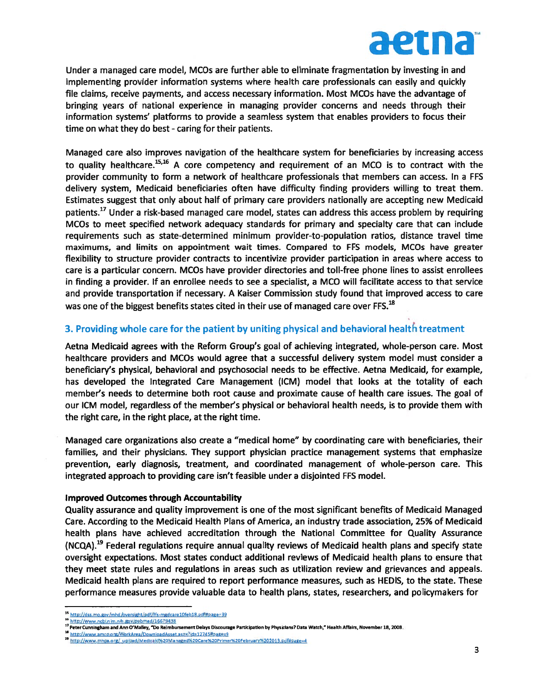

Under <sup>a</sup> managed care model, MCOs are further able to eliminate fragmentation by investing in and implementing provider information systems where health care professionals can easily and quickly file claims, receive payments, and access necessary information. Most MCOs have the advantage of bringing years of national experience in managing provider concerns and needs through their information systems' platforms to provide <sup>a</sup> seamless system that enables providers to focus their time on what they do best - caring for their patients.

Managed care also improves navigation of the healthcare system for beneficiaries by increasing access to quality healthcare.<sup>15,16</sup> A core competency and requirement of an MCO is to contract with the provider community to form <sup>a</sup> network of healthcare professionals that members can access. In <sup>a</sup> FF5 delivery system, Medicaid beneficiaries often have difficulty finding providers willing to treat them. Estimates sugges<sup>t</sup> that only about half of primary care providers nationally are accepting new Medicaid patients.<sup>17</sup> Under a risk-based managed care model, states can address this access problem by requiring MCOs to meet specified network adequacy standards for primary and specialty care that can include requirements such as state-determined minimum provider-to-population ratios, distance travel time maximums, and limits on appointment wait times. Compared to FF5 models, MCOs have greater flexibility to structure provider contracts to incentivize provider participation in areas where access to care is <sup>a</sup> particular concern. MCOs have provider directories and toll-free phone lines to assist enrollees in finding <sup>a</sup> provider, If an enrollee needs to see <sup>a</sup> specialist, <sup>a</sup> MCO will facilitate access to that service and provide transportation if necessary. A Kaiser Commission study found that improved access to care was one of the biggest benefits states cited in their use of managed care over FFS.<sup>18</sup>

## 3. Providing whole care for the patient by uniting physical and behavioral health treatment

Aetna Medicaid agrees with the Reform Group's goal of achieving integrated, whole-person care. Most healthcare providers and MCOs would agree that <sup>a</sup> successful delivery system model must consider <sup>a</sup> beneficiary's physical, behavioral and psychosocial needs to be effective. Aetna Medicaid, for example, has developed the Integrated Care Management (1CM) model that looks at the totality of each member's needs to determine both root cause and proximate cause of health care issues. The goal of our 1CM model, regardless of the member's physical or behavioral health needs, is to provide them with the right care, in the right place, at the right time.

Managed care organizations also create <sup>a</sup> "medical home" by coordinating care with beneficiaries, their families, and their physicians. They suppor<sup>t</sup> physician practice managemen<sup>t</sup> systems that emphasize prevention, early diagnosis, treatment, and coordinated managemen<sup>t</sup> of whole-person care. This integrated approach to providing care isn't feasible under <sup>a</sup> disjointed FF5 model.

### Improved Outcomes through Accountability

Quality assurance and quality improvement is one of the most significant benefits of Medicaid Managed Care. According to the Medicaid Health Plans of America, an industry trade association, 25% of Medicaid health plans have achieved accreditation through the National Committee for Quality Assurance (NCQA).<sup>19</sup> Federal regulations require annual quality reviews of Medicaid health plans and specify state oversight expectations. Most states conduct additional reviews of Medicaid health plans to ensure that they meet state rules and regulations in areas such as utilization review and grievances and appeals. Medicaid health plans are required to repor<sup>t</sup> performance measures, such as HEDIS, to the state. These performance measures provide valuable data to health plans, states, researchers, and policymakers for

<sup>15</sup> http://dss.mo.gov/mhd/oversight/pdf/ffs-mgdcare10feb18.pdf#page=39

<sup>16</sup> http://www.ncbi.nlm.nih.gov/pubrned/16679438

<sup>17</sup> Peter Cunningham and Ann O'Malley, "Do Reimbursement Delays Discourage Participation by Physicians? Data Watch," Health Affairs, November 18, 2008.

http://www.amcp.org/WorkArea/DownloadAsset.aspx?id=12745#page=9

http://www.mhpa.org/ upload/Medicaid%20Managed%20Care%20Primer%20February%202013.pdf#page=4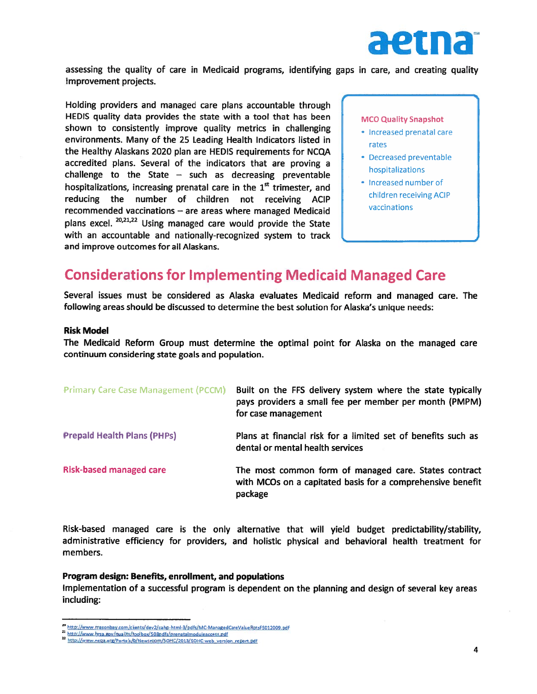

assessing the quality of care in Medicaid programs, identifying gaps in care, and creating quality improvement projects.

Holding providers and managed care <sup>p</sup>lans accountable through HEDIS quality data provides the state with <sup>a</sup> tool that has been shown to consistently improve quality metrics in challenging environments. Many of the 25 Leading Health Indicators listed in the Healthy Alaskans 2020 <sup>p</sup>lan are HEDIS requirements for NCQA accredited plans. Several of the indicators that are proving <sup>a</sup> challenge to the State  $-$  such as decreasing preventable hospitalizations, increasing prenatal care in the  $1<sup>st</sup>$  trimester, and reducing the number of children not receiving ACIP recommended vaccinations — are areas where managed Medicaid plans excel.  $20,21,22$  Using managed care would provide the State with an accountable and nationally-recognized system to track and improve outcomes for all Alaskans. sseessing the quality of care in Medicald program<br>morovement projects.<br>
HeDIS grounders and managed care plans account<br>
HEDIS grounders and managed care plans accounts<br>
HEDIS grounders Mary of the 25 leading Health Indicat

MCO Quality Snapshot

- Increased prenatal care rates
- Decreased preventable hospitalizations
- Increased number of children receiving ACIP vaccinations

# Considerations for Implementing Medicaid Managed Care

Several issues must be considered as Alaska evaluates Medicaid reform and managed care. The following areas should be discussed to determine the best solution for Alaska's unique needs:

#### Risk Model

The Medicaid Reform Group must determine the optimal point for Alaska on the managed care continuum considering state goals and population.

| <b>Primary Care Case Management (PCCM)</b> | Built on the FFS delivery system where the state typically<br>pays providers a small fee per member per month (PMPM)<br>for case management |
|--------------------------------------------|---------------------------------------------------------------------------------------------------------------------------------------------|
| <b>Prepaid Health Plans (PHPs)</b>         | Plans at financial risk for a limited set of benefits such as<br>dental or mental health services                                           |
| <b>Risk-based managed care</b>             | The most common form of managed care. States contract<br>with MCOs on a capitated basis for a comprehensive benefit<br>package              |

Risk-based managed care is the only alternative that will <sup>y</sup>ield budget predictability/stability, administrative efficiency for providers, and holistic physical and behavioral health treatment for members.

#### Program design: Benefits, enrollment, and populations

Implementation of <sup>a</sup> successful program is dependent on the <sup>p</sup>lanning and design of several key areas including:

<sup>&</sup>lt;sup>20</sup> http://www.masonbay.com/clients/

<sup>&</sup>lt;sup>21</sup> http://www.hrsa.gov/quality/toolbox/508pdfs/prenatalmoduleaccess.pdf

<sup>22</sup> http://www.ncga.org/Portals/0/Newsroom/SOHC/2013/SOHC-web version renort.ndf